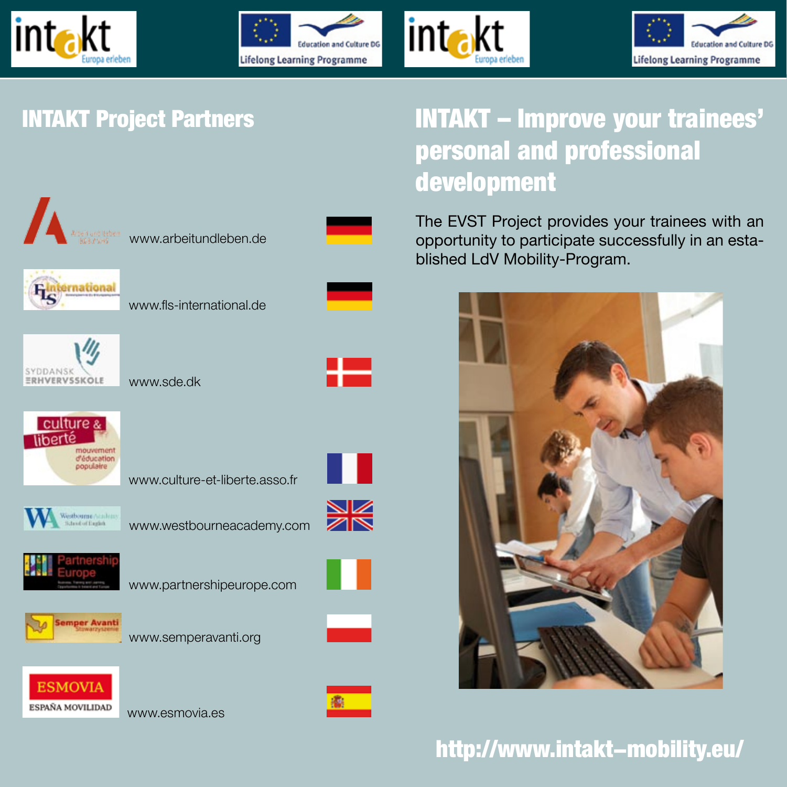







### INTAKT Project Partners

# INTAKT – Improve your trainees' personal and professional development

The EVST Project provides your trainees with an opportunity to participate successfully in an established LdV Mobility-Program.



## http://www.intakt-mobility.eu/

www.arbeitundleben.de



www.fls-international.de



www.sde.dk



www.culture-et-liberte.asso.fr



www.westbourneacademy.com





www.partnershipeurope.com



www.semperavanti.org



www.esmovia.es